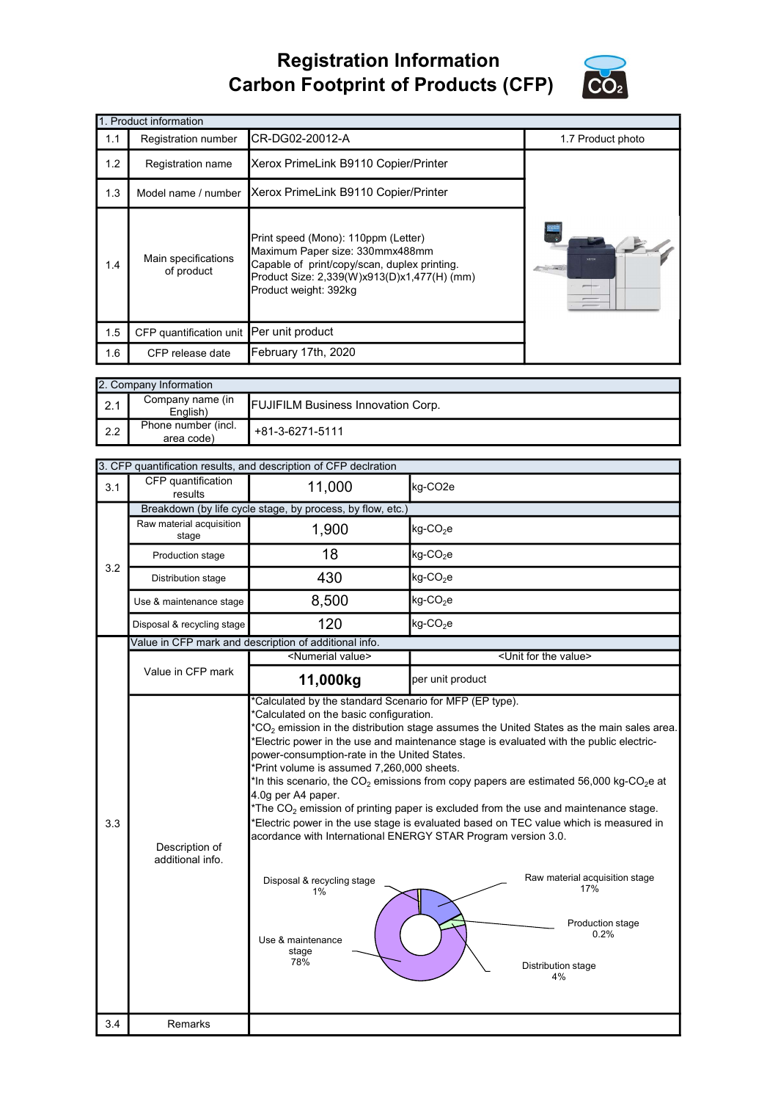## Registration Information Carbon Footprint of Products (CFP)



|     | 1. Product information                   |                                                                                                                                                                                                |                   |  |  |
|-----|------------------------------------------|------------------------------------------------------------------------------------------------------------------------------------------------------------------------------------------------|-------------------|--|--|
| 1.1 | Registration number                      | CR-DG02-20012-A                                                                                                                                                                                | 1.7 Product photo |  |  |
| 1.2 | Registration name                        | Xerox PrimeLink B9110 Copier/Printer                                                                                                                                                           |                   |  |  |
| 1.3 | Model name / number                      | Xerox PrimeLink B9110 Copier/Printer                                                                                                                                                           |                   |  |  |
| 1.4 | Main specifications<br>of product        | Print speed (Mono): 110ppm (Letter)<br>Maximum Paper size: 330mmx488mm<br>Capable of print/copy/scan, duplex printing.<br>Product Size: 2,339(W)x913(D)x1,477(H) (mm)<br>Product weight: 392kg | xerox             |  |  |
| 1.5 | CFP quantification unit Per unit product |                                                                                                                                                                                                |                   |  |  |
| 1.6 | CFP release date                         | February 17th, 2020                                                                                                                                                                            |                   |  |  |

|     | 2. Company Information            |                                           |  |  |  |
|-----|-----------------------------------|-------------------------------------------|--|--|--|
| 2.1 | Company name (in<br>English)      | <b>FUJIFILM Business Innovation Corp.</b> |  |  |  |
| 2.2 | Phone number (incl.<br>area code) | +81-3-6271-5111                           |  |  |  |

|     | 3. CFP quantification results, and description of CFP declration                                                                                                                                                                                                                                                                                                                                                                                                                                                                                                                                                                                                                                                                                                                                                                                                                                                                                                                                                                                                                                                                                               |                                                       |                         |  |  |  |
|-----|----------------------------------------------------------------------------------------------------------------------------------------------------------------------------------------------------------------------------------------------------------------------------------------------------------------------------------------------------------------------------------------------------------------------------------------------------------------------------------------------------------------------------------------------------------------------------------------------------------------------------------------------------------------------------------------------------------------------------------------------------------------------------------------------------------------------------------------------------------------------------------------------------------------------------------------------------------------------------------------------------------------------------------------------------------------------------------------------------------------------------------------------------------------|-------------------------------------------------------|-------------------------|--|--|--|
| 3.1 | CFP quantification<br>results                                                                                                                                                                                                                                                                                                                                                                                                                                                                                                                                                                                                                                                                                                                                                                                                                                                                                                                                                                                                                                                                                                                                  | 11,000                                                | kg-CO2e                 |  |  |  |
|     | Breakdown (by life cycle stage, by process, by flow, etc.)                                                                                                                                                                                                                                                                                                                                                                                                                                                                                                                                                                                                                                                                                                                                                                                                                                                                                                                                                                                                                                                                                                     |                                                       |                         |  |  |  |
|     | Raw material acquisition<br>stage                                                                                                                                                                                                                                                                                                                                                                                                                                                                                                                                                                                                                                                                                                                                                                                                                                                                                                                                                                                                                                                                                                                              | 1,900                                                 | $kg$ -CO <sub>2</sub> e |  |  |  |
| 3.2 | Production stage                                                                                                                                                                                                                                                                                                                                                                                                                                                                                                                                                                                                                                                                                                                                                                                                                                                                                                                                                                                                                                                                                                                                               | 18                                                    | $kg$ -CO <sub>2</sub> e |  |  |  |
|     | Distribution stage                                                                                                                                                                                                                                                                                                                                                                                                                                                                                                                                                                                                                                                                                                                                                                                                                                                                                                                                                                                                                                                                                                                                             | 430                                                   | $kg$ -CO <sub>2</sub> e |  |  |  |
|     | Use & maintenance stage                                                                                                                                                                                                                                                                                                                                                                                                                                                                                                                                                                                                                                                                                                                                                                                                                                                                                                                                                                                                                                                                                                                                        | 8,500                                                 | $kg$ -CO <sub>2</sub> e |  |  |  |
|     | Disposal & recycling stage                                                                                                                                                                                                                                                                                                                                                                                                                                                                                                                                                                                                                                                                                                                                                                                                                                                                                                                                                                                                                                                                                                                                     | 120                                                   | $kg$ -CO <sub>2</sub> e |  |  |  |
|     |                                                                                                                                                                                                                                                                                                                                                                                                                                                                                                                                                                                                                                                                                                                                                                                                                                                                                                                                                                                                                                                                                                                                                                | Value in CFP mark and description of additional info. |                         |  |  |  |
|     |                                                                                                                                                                                                                                                                                                                                                                                                                                                                                                                                                                                                                                                                                                                                                                                                                                                                                                                                                                                                                                                                                                                                                                |                                                       |                         |  |  |  |
|     |                                                                                                                                                                                                                                                                                                                                                                                                                                                                                                                                                                                                                                                                                                                                                                                                                                                                                                                                                                                                                                                                                                                                                                | 11,000kg                                              | per unit product        |  |  |  |
| 3.3 | <numerial value=""><br/><unit for="" the="" value=""><br/>Value in CFP mark<br/>*Calculated by the standard Scenario for MFP (EP type).<br/>*Calculated on the basic configuration.<br/><math>^*CO_2</math> emission in the distribution stage assumes the United States as the main sales area.<br/>*Electric power in the use and maintenance stage is evaluated with the public electric-<br/>power-consumption-rate in the United States.<br/>*Print volume is assumed 7,260,000 sheets.<br/>*In this scenario, the <math>CO_2</math> emissions from copy papers are estimated 56,000 kg-CO<sub>2</sub>e at<br/>4.0g per A4 paper.<br/>*The <math>CO2</math> emission of printing paper is excluded from the use and maintenance stage.<br/>*Electric power in the use stage is evaluated based on TEC value which is measured in<br/>acordance with International ENERGY STAR Program version 3.0.<br/>Description of<br/>additional info.<br/>Raw material acquisition stage<br/>Disposal &amp; recycling stage<br/>17%<br/>1%<br/>Production stage<br/>0.2%<br/>Use &amp; maintenance<br/>stage<br/>78%<br/>Distribution stage<br/>4%</unit></numerial> |                                                       |                         |  |  |  |
| 3.4 | Remarks                                                                                                                                                                                                                                                                                                                                                                                                                                                                                                                                                                                                                                                                                                                                                                                                                                                                                                                                                                                                                                                                                                                                                        |                                                       |                         |  |  |  |